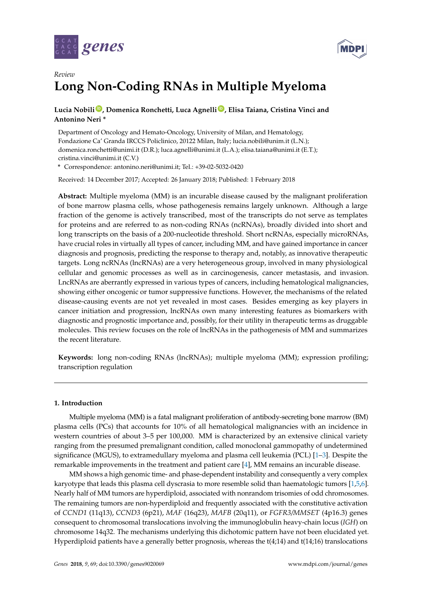



# *Review* **Long Non-Coding RNAs in Multiple Myeloma**

# **Lucia Nobili [ID](https://orcid.org/0000-0001-9965-2444) , Domenica Ronchetti, Luca Agnelli [ID](https://orcid.org/0000-0003-0582-6170) , Elisa Taiana, Cristina Vinci and Antonino Neri \***

Department of Oncology and Hemato-Oncology, University of Milan, and Hematology, Fondazione Ca' Granda IRCCS Policlinico, 20122 Milan, Italy; lucia.nobili@unim.it (L.N.); domenica.ronchetti@unimi.it (D.R.); luca.agnelli@unimi.it (L.A.); elisa.taiana@unimi.it (E.T.); cristina.vinci@unimi.it (C.V.)

**\*** Correspondence: antonino.neri@unimi.it; Tel.: +39-02-5032-0420

Received: 14 December 2017; Accepted: 26 January 2018; Published: 1 February 2018

**Abstract:** Multiple myeloma (MM) is an incurable disease caused by the malignant proliferation of bone marrow plasma cells, whose pathogenesis remains largely unknown. Although a large fraction of the genome is actively transcribed, most of the transcripts do not serve as templates for proteins and are referred to as non-coding RNAs (ncRNAs), broadly divided into short and long transcripts on the basis of a 200-nucleotide threshold. Short ncRNAs, especially microRNAs, have crucial roles in virtually all types of cancer, including MM, and have gained importance in cancer diagnosis and prognosis, predicting the response to therapy and, notably, as innovative therapeutic targets. Long ncRNAs (lncRNAs) are a very heterogeneous group, involved in many physiological cellular and genomic processes as well as in carcinogenesis, cancer metastasis, and invasion. LncRNAs are aberrantly expressed in various types of cancers, including hematological malignancies, showing either oncogenic or tumor suppressive functions. However, the mechanisms of the related disease-causing events are not yet revealed in most cases. Besides emerging as key players in cancer initiation and progression, lncRNAs own many interesting features as biomarkers with diagnostic and prognostic importance and, possibly, for their utility in therapeutic terms as druggable molecules. This review focuses on the role of lncRNAs in the pathogenesis of MM and summarizes the recent literature.

**Keywords:** long non-coding RNAs (lncRNAs); multiple myeloma (MM); expression profiling; transcription regulation

### **1. Introduction**

Multiple myeloma (MM) is a fatal malignant proliferation of antibody-secreting bone marrow (BM) plasma cells (PCs) that accounts for 10% of all hematological malignancies with an incidence in western countries of about 3–5 per 100,000. MM is characterized by an extensive clinical variety ranging from the presumed premalignant condition, called monoclonal gammopathy of undetermined significance (MGUS), to extramedullary myeloma and plasma cell leukemia (PCL) [\[1–](#page-7-0)[3\]](#page-7-1). Despite the remarkable improvements in the treatment and patient care [\[4\]](#page-7-2), MM remains an incurable disease.

MM shows a high genomic time- and phase-dependent instability and consequently a very complex karyotype that leads this plasma cell dyscrasia to more resemble solid than haematologic tumors [\[1,](#page-7-0)[5,](#page-7-3)[6\]](#page-7-4). Nearly half of MM tumors are hyperdiploid, associated with nonrandom trisomies of odd chromosomes. The remaining tumors are non-hyperdiploid and frequently associated with the constitutive activation of *CCND1* (11q13), *CCND3* (6p21), *MAF* (16q23), *MAFB* (20q11), or *FGFR3/MMSET* (4p16.3) genes consequent to chromosomal translocations involving the immunoglobulin heavy-chain locus (*IGH*) on chromosome 14q32. The mechanisms underlying this dichotomic pattern have not been elucidated yet. Hyperdiploid patients have a generally better prognosis, whereas the t(4;14) and t(14;16) translocations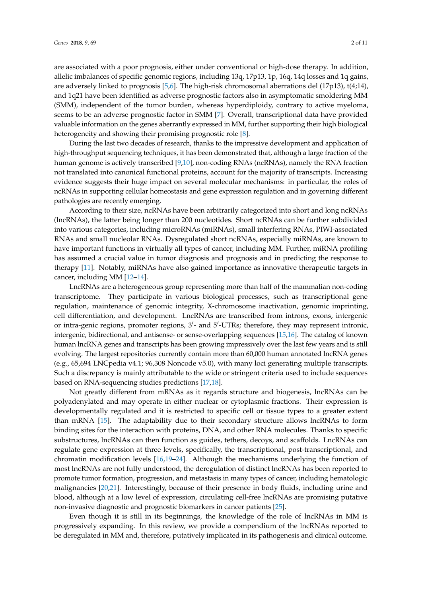are associated with a poor prognosis, either under conventional or high-dose therapy. In addition, allelic imbalances of specific genomic regions, including 13q, 17p13, 1p, 16q, 14q losses and 1q gains, are adversely linked to prognosis [\[5,](#page-7-3)[6\]](#page-7-4). The high-risk chromosomal aberrations del (17p13), t(4;14), and 1q21 have been identified as adverse prognostic factors also in asymptomatic smoldering MM (SMM), independent of the tumor burden, whereas hyperdiploidy, contrary to active myeloma, seems to be an adverse prognostic factor in SMM [\[7\]](#page-7-5). Overall, transcriptional data have provided valuable information on the genes aberrantly expressed in MM, further supporting their high biological heterogeneity and showing their promising prognostic role [\[8\]](#page-7-6).

During the last two decades of research, thanks to the impressive development and application of high-throughput sequencing techniques, it has been demonstrated that, although a large fraction of the human genome is actively transcribed [\[9](#page-7-7)[,10\]](#page-7-8), non-coding RNAs (ncRNAs), namely the RNA fraction not translated into canonical functional proteins, account for the majority of transcripts. Increasing evidence suggests their huge impact on several molecular mechanisms: in particular, the roles of ncRNAs in supporting cellular homeostasis and gene expression regulation and in governing different pathologies are recently emerging.

According to their size, ncRNAs have been arbitrarily categorized into short and long ncRNAs (lncRNAs), the latter being longer than 200 nucleotides. Short ncRNAs can be further subdivided into various categories, including microRNAs (miRNAs), small interfering RNAs, PIWI-associated RNAs and small nucleolar RNAs. Dysregulated short ncRNAs, especially miRNAs, are known to have important functions in virtually all types of cancer, including MM. Further, miRNA profiling has assumed a crucial value in tumor diagnosis and prognosis and in predicting the response to therapy [\[11\]](#page-8-0). Notably, miRNAs have also gained importance as innovative therapeutic targets in cancer, including MM [\[12–](#page-8-1)[14\]](#page-8-2).

LncRNAs are a heterogeneous group representing more than half of the mammalian non-coding transcriptome. They participate in various biological processes, such as transcriptional gene regulation, maintenance of genomic integrity, X-chromosome inactivation, genomic imprinting, cell differentiation, and development. LncRNAs are transcribed from introns, exons, intergenic or intra-genic regions, promoter regions, 3'- and 5'-UTRs; therefore, they may represent intronic, intergenic, bidirectional, and antisense- or sense-overlapping sequences [\[15](#page-8-3)[,16\]](#page-8-4). The catalog of known human lncRNA genes and transcripts has been growing impressively over the last few years and is still evolving. The largest repositories currently contain more than 60,000 human annotated lncRNA genes (e.g., 65,694 LNCpedia v4.1; 96,308 Noncode v5.0), with many loci generating multiple transcripts. Such a discrepancy is mainly attributable to the wide or stringent criteria used to include sequences based on RNA-sequencing studies predictions [\[17](#page-8-5)[,18\]](#page-8-6).

Not greatly different from mRNAs as it regards structure and biogenesis, lncRNAs can be polyadenylated and may operate in either nuclear or cytoplasmic fractions. Their expression is developmentally regulated and it is restricted to specific cell or tissue types to a greater extent than mRNA [\[15\]](#page-8-3). The adaptability due to their secondary structure allows lncRNAs to form binding sites for the interaction with proteins, DNA, and other RNA molecules. Thanks to specific substructures, lncRNAs can then function as guides, tethers, decoys, and scaffolds. LncRNAs can regulate gene expression at three levels, specifically, the transcriptional, post-transcriptional, and chromatin modification levels [\[16](#page-8-4)[,19](#page-8-7)[–24\]](#page-8-8). Although the mechanisms underlying the function of most lncRNAs are not fully understood, the deregulation of distinct lncRNAs has been reported to promote tumor formation, progression, and metastasis in many types of cancer, including hematologic malignancies [\[20](#page-8-9)[,21\]](#page-8-10). Interestingly, because of their presence in body fluids, including urine and blood, although at a low level of expression, circulating cell-free lncRNAs are promising putative non-invasive diagnostic and prognostic biomarkers in cancer patients [\[25\]](#page-8-11).

Even though it is still in its beginnings, the knowledge of the role of lncRNAs in MM is progressively expanding. In this review, we provide a compendium of the lncRNAs reported to be deregulated in MM and, therefore, putatively implicated in its pathogenesis and clinical outcome.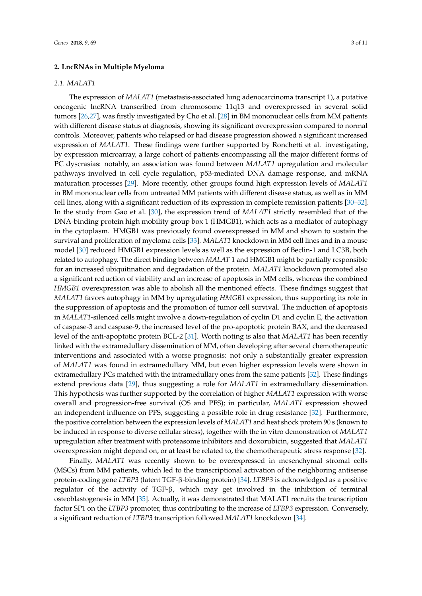#### **2. LncRNAs in Multiple Myeloma**

#### *2.1. MALAT1*

The expression of *MALAT1* (metastasis-associated lung adenocarcinoma transcript 1), a putative oncogenic lncRNA transcribed from chromosome 11q13 and overexpressed in several solid tumors [\[26](#page-8-12)[,27\]](#page-8-13), was firstly investigated by Cho et al. [\[28\]](#page-8-14) in BM mononuclear cells from MM patients with different disease status at diagnosis, showing its significant overexpression compared to normal controls. Moreover, patients who relapsed or had disease progression showed a significant increased expression of *MALAT1*. These findings were further supported by Ronchetti et al. investigating, by expression microarray, a large cohort of patients encompassing all the major different forms of PC dyscrasias: notably, an association was found between *MALAT1* upregulation and molecular pathways involved in cell cycle regulation, p53-mediated DNA damage response, and mRNA maturation processes [\[29\]](#page-8-15). More recently, other groups found high expression levels of *MALAT1* in BM mononuclear cells from untreated MM patients with different disease status, as well as in MM cell lines, along with a significant reduction of its expression in complete remission patients [\[30–](#page-8-16)[32\]](#page-9-0). In the study from Gao et al. [\[30\]](#page-8-16), the expression trend of *MALAT1* strictly resembled that of the DNA-binding protein high mobility group box 1 (HMGB1), which acts as a mediator of autophagy in the cytoplasm. HMGB1 was previously found overexpressed in MM and shown to sustain the survival and proliferation of myeloma cells [\[33\]](#page-9-1). *MALAT1* knockdown in MM cell lines and in a mouse model [\[30\]](#page-8-16) reduced HMGB1 expression levels as well as the expression of Beclin-1 and LC3B, both related to autophagy. The direct binding between *MALAT-1* and HMGB1 might be partially responsible for an increased ubiquitination and degradation of the protein. *MALAT1* knockdown promoted also a significant reduction of viability and an increase of apoptosis in MM cells, whereas the combined *HMGB1* overexpression was able to abolish all the mentioned effects. These findings suggest that *MALAT1* favors autophagy in MM by upregulating *HMGB1* expression, thus supporting its role in the suppression of apoptosis and the promotion of tumor cell survival. The induction of apoptosis in *MALAT1*-silenced cells might involve a down-regulation of cyclin D1 and cyclin E, the activation of caspase-3 and caspase-9, the increased level of the pro-apoptotic protein BAX, and the decreased level of the anti-apoptotic protein BCL-2 [\[31\]](#page-8-17). Worth noting is also that *MALAT1* has been recently linked with the extramedullary dissemination of MM, often developing after several chemotherapeutic interventions and associated with a worse prognosis: not only a substantially greater expression of *MALAT1* was found in extramedullary MM, but even higher expression levels were shown in extramedullary PCs matched with the intramedullary ones from the same patients [\[32\]](#page-9-0). These findings extend previous data [\[29\]](#page-8-15), thus suggesting a role for *MALAT1* in extramedullary dissemination. This hypothesis was further supported by the correlation of higher *MALAT1* expression with worse overall and progression-free survival (OS and PFS); in particular, *MALAT1* expression showed an independent influence on PFS, suggesting a possible role in drug resistance [\[32\]](#page-9-0). Furthermore, the positive correlation between the expression levels of *MALAT1* and heat shock protein 90 s (known to be induced in response to diverse cellular stress), together with the in vitro demonstration of *MALAT1* upregulation after treatment with proteasome inhibitors and doxorubicin, suggested that *MALAT1* overexpression might depend on, or at least be related to, the chemotherapeutic stress response [\[32\]](#page-9-0).

Finally, *MALAT1* was recently shown to be overexpressed in mesenchymal stromal cells (MSCs) from MM patients, which led to the transcriptional activation of the neighboring antisense protein-coding gene *LTBP3* (latent TGF-β-binding protein) [\[34\]](#page-9-2). *LTBP3* is acknowledged as a positive regulator of the activity of TGF-β, which may get involved in the inhibition of terminal osteoblastogenesis in MM [\[35\]](#page-9-3). Actually, it was demonstrated that MALAT1 recruits the transcription factor SP1 on the *LTBP3* promoter, thus contributing to the increase of *LTBP3* expression. Conversely, a significant reduction of *LTBP3* transcription followed *MALAT1* knockdown [\[34\]](#page-9-2).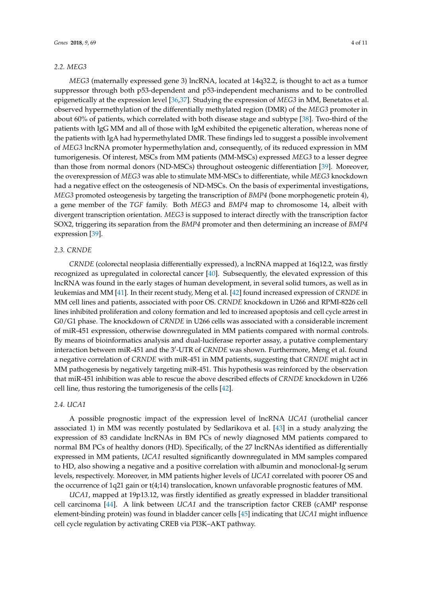#### *2.2. MEG3*

*MEG3* (maternally expressed gene 3) lncRNA, located at 14q32.2, is thought to act as a tumor suppressor through both p53-dependent and p53-independent mechanisms and to be controlled epigenetically at the expression level [\[36,](#page-9-4)[37\]](#page-9-5). Studying the expression of *MEG3* in MM, Benetatos et al. observed hypermethylation of the differentially methylated region (DMR) of the *MEG3* promoter in about 60% of patients, which correlated with both disease stage and subtype [\[38\]](#page-9-6). Two-third of the patients with IgG MM and all of those with IgM exhibited the epigenetic alteration, whereas none of the patients with IgA had hypermethylated DMR. These findings led to suggest a possible involvement of *MEG3* lncRNA promoter hypermethylation and, consequently, of its reduced expression in MM tumorigenesis. Of interest, MSCs from MM patients (MM-MSCs) expressed *MEG3* to a lesser degree than those from normal donors (ND-MSCs) throughout osteogenic differentiation [\[39\]](#page-9-7). Moreover, the overexpression of *MEG3* was able to stimulate MM-MSCs to differentiate, while *MEG3* knockdown had a negative effect on the osteogenesis of ND-MSCs. On the basis of experimental investigations, *MEG3* promoted osteogenesis by targeting the transcription of *BMP4* (bone morphogenetic protein 4), a gene member of the *TGF* family. Both *MEG3* and *BMP4* map to chromosome 14, albeit with divergent transcription orientation. *MEG3* is supposed to interact directly with the transcription factor SOX2, triggering its separation from the *BMP4* promoter and then determining an increase of *BMP4* expression [\[39\]](#page-9-7).

#### *2.3. CRNDE*

*CRNDE* (colorectal neoplasia differentially expressed), a lncRNA mapped at 16q12.2, was firstly recognized as upregulated in colorectal cancer [\[40\]](#page-9-8). Subsequently, the elevated expression of this lncRNA was found in the early stages of human development, in several solid tumors, as well as in leukemias and MM [\[41\]](#page-9-9). In their recent study, Meng et al. [\[42\]](#page-9-10) found increased expression of *CRNDE* in MM cell lines and patients, associated with poor OS. *CRNDE* knockdown in U266 and RPMI-8226 cell lines inhibited proliferation and colony formation and led to increased apoptosis and cell cycle arrest in G0/G1 phase. The knockdown of *CRNDE* in U266 cells was associated with a considerable increment of miR-451 expression, otherwise downregulated in MM patients compared with normal controls. By means of bioinformatics analysis and dual-luciferase reporter assay, a putative complementary interaction between miR-451 and the 3'-UTR of *CRNDE* was shown. Furthermore, Meng et al. found a negative correlation of *CRNDE* with miR-451 in MM patients, suggesting that *CRNDE* might act in MM pathogenesis by negatively targeting miR-451. This hypothesis was reinforced by the observation that miR-451 inhibition was able to rescue the above described effects of *CRNDE* knockdown in U266 cell line, thus restoring the tumorigenesis of the cells [\[42\]](#page-9-10).

#### *2.4. UCA1*

A possible prognostic impact of the expression level of lncRNA *UCA1* (urothelial cancer associated 1) in MM was recently postulated by Sedlarikova et al. [\[43\]](#page-9-11) in a study analyzing the expression of 83 candidate lncRNAs in BM PCs of newly diagnosed MM patients compared to normal BM PCs of healthy donors (HD). Specifically, of the 27 lncRNAs identified as differentially expressed in MM patients, *UCA1* resulted significantly downregulated in MM samples compared to HD, also showing a negative and a positive correlation with albumin and monoclonal-Ig serum levels, respectively. Moreover, in MM patients higher levels of *UCA1* correlated with poorer OS and the occurrence of 1q21 gain or t(4;14) translocation, known unfavorable prognostic features of MM.

*UCA1*, mapped at 19p13.12, was firstly identified as greatly expressed in bladder transitional cell carcinoma [\[44\]](#page-9-12). A link between *UCA1* and the transcription factor CREB (cAMP response element-binding protein) was found in bladder cancer cells [\[45\]](#page-9-13) indicating that *UCA1* might influence cell cycle regulation by activating CREB via PI3K–AKT pathway.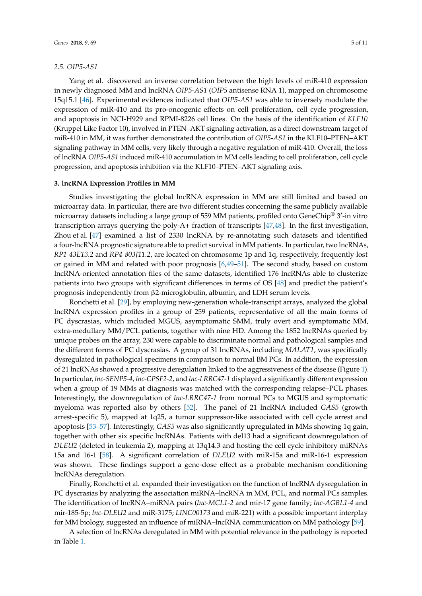#### *2.5. OIP5-AS1*

Yang et al. discovered an inverse correlation between the high levels of miR-410 expression in newly diagnosed MM and lncRNA *OIP5-AS1* (*OIP5* antisense RNA 1), mapped on chromosome 15q15.1 [\[46\]](#page-9-14). Experimental evidences indicated that *OIP5-AS1* was able to inversely modulate the expression of miR-410 and its pro-oncogenic effects on cell proliferation, cell cycle progression, and apoptosis in NCI-H929 and RPMI-8226 cell lines. On the basis of the identification of *KLF10* (Kruppel Like Factor 10), involved in PTEN–AKT signaling activation, as a direct downstream target of miR-410 in MM, it was further demonstrated the contribution of *OIP5-AS1* in the KLF10–PTEN–AKT signaling pathway in MM cells, very likely through a negative regulation of miR-410. Overall, the loss of lncRNA *OIP5-AS1* induced miR-410 accumulation in MM cells leading to cell proliferation, cell cycle progression, and apoptosis inhibition via the KLF10–PTEN–AKT signaling axis.

#### **3. lncRNA Expression Profiles in MM**

Studies investigating the global lncRNA expression in MM are still limited and based on microarray data. In particular, there are two different studies concerning the same publicly available microarray datasets including a large group of 559 MM patients, profiled onto GeneChip® 3'-in vitro transcription arrays querying the poly-A+ fraction of transcripts [\[47,](#page-9-15)[48\]](#page-9-16). In the first investigation, Zhou et al. [\[47\]](#page-9-15) examined a list of 2330 lncRNA by re-annotating such datasets and identified a four-lncRNA prognostic signature able to predict survival in MM patients. In particular, two lncRNAs, *RP1-43E13.2* and *RP4-803J11.2*, are located on chromosome 1p and 1q, respectively, frequently lost or gained in MM and related with poor prognosis [\[6](#page-7-4)[,49–](#page-9-17)[51\]](#page-10-0). The second study, based on custom lncRNA-oriented annotation files of the same datasets, identified 176 lncRNAs able to clusterize patients into two groups with significant differences in terms of OS [\[48\]](#page-9-16) and predict the patient's prognosis independently from β2-microglobulin, albumin, and LDH serum levels.

Ronchetti et al. [\[29\]](#page-8-15), by employing new-generation whole-transcript arrays, analyzed the global lncRNA expression profiles in a group of 259 patients, representative of all the main forms of PC dyscrasias, which included MGUS, asymptomatic SMM, truly overt and symptomatic MM, extra-medullary MM/PCL patients, together with nine HD. Among the 1852 lncRNAs queried by unique probes on the array, 230 were capable to discriminate normal and pathological samples and the different forms of PC dyscrasias. A group of 31 lncRNAs, including *MALAT1*, was specifically dysregulated in pathological specimens in comparison to normal BM PCs. In addition, the expression of 21 lncRNAs showed a progressive deregulation linked to the aggressiveness of the disease (Figure [1\)](#page-5-0). In particular, *lnc-SENP5-4*, *lnc-CPSF2-2*, and *lnc-LRRC47-1* displayed a significantly different expression when a group of 19 MMs at diagnosis was matched with the corresponding relapse–PCL phases. Interestingly, the downregulation of *lnc-LRRC47-1* from normal PCs to MGUS and symptomatic myeloma was reported also by others [\[52\]](#page-10-1). The panel of 21 lncRNA included *GAS5* (growth arrest-specific 5)*,* mapped at 1q25, a tumor suppressor-like associated with cell cycle arrest and apoptosis [\[53–](#page-10-2)[57\]](#page-10-3). Interestingly, *GAS5* was also significantly upregulated in MMs showing 1q gain, together with other six specific lncRNAs. Patients with del13 had a significant downregulation of *DLEU2* (deleted in leukemia 2), mapping at 13q14.3 and hosting the cell cycle inhibitory miRNAs 15a and 16-1 [\[58\]](#page-10-4). A significant correlation of *DLEU2* with miR-15a and miR-16-1 expression was shown. These findings support a gene-dose effect as a probable mechanism conditioning lncRNAs deregulation.

Finally, Ronchetti et al. expanded their investigation on the function of lncRNA dysregulation in PC dyscrasias by analyzing the association miRNA–lncRNA in MM, PCL, and normal PCs samples. The identification of lncRNA–miRNA pairs (*lnc-MCL1-2* and mir-17 gene family; *lnc-AGBL1-4* and mir-185-5p; *lnc-DLEU2* and miR-3175; *LINC00173* and miR-221) with a possible important interplay for MM biology, suggested an influence of miRNA–lncRNA communication on MM pathology [\[59\]](#page-10-5).

A selection of lncRNAs deregulated in MM with potential relevance in the pathology is reported in Table [1.](#page-6-0)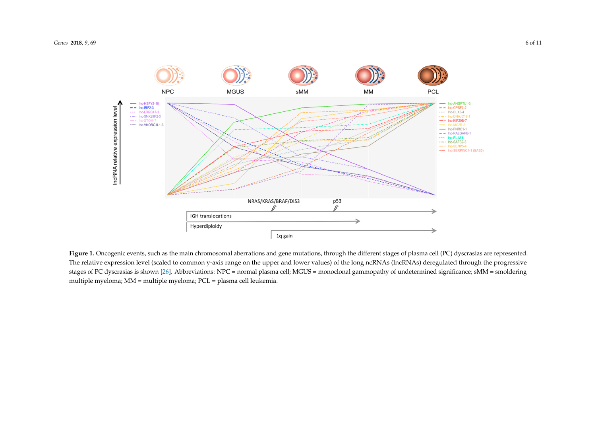

<span id="page-5-0"></span>Figure 1. Oncogenic events, such as the main chromosomal aberrations and gene mutations, through the different stages of plasma cell (PC) dyscrasias are represented. The relative expression level (scaled to common y-axis range on the upper and lower values) of the long ncRNAs (lncRNAs) deregulated through the progressive stages of PC dyscrasias is shown [\[26\]](#page-8-18). Abbreviations: NPC = normal plasma cell; MGUS = monoclonal gammopathy of undetermined significance; sMM = smoldering = smoldering multiple myeloma; MM = multiple myeloma; PCL = plasma cell leukemia. multiple myeloma; MM = multiple myeloma; PCL = plasma cell leukemia.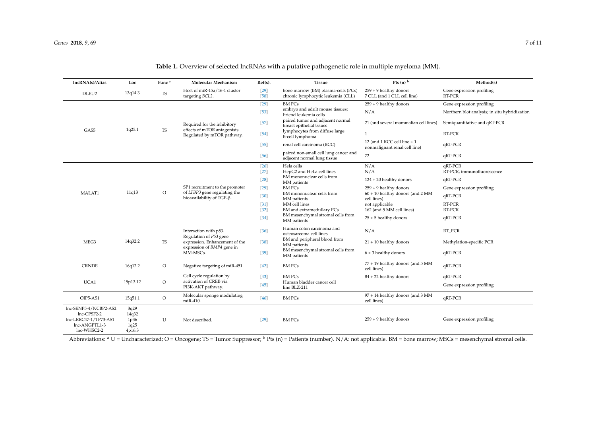| lncRNA(s)/Alias                        | Loc          | Func <sup>a</sup> | <b>Molecular Mechanism</b>                                                                                                  | $Ref(s)$ .         | <b>Tissue</b>                                                             | Pts $(n)$ <sup>b</sup>                                       | Method(s)                                     |
|----------------------------------------|--------------|-------------------|-----------------------------------------------------------------------------------------------------------------------------|--------------------|---------------------------------------------------------------------------|--------------------------------------------------------------|-----------------------------------------------|
| DLEU2                                  | 13q14.3      | TS                | Host of miR-15a/16-1 cluster<br>targeting BCL2.                                                                             | $[29]$<br>$[58]$   | bone marrow (BM) plasma-cells (PCs)<br>chronic lymphocytic leukemia (CLL) | $259 + 9$ healthy donors<br>7 CLL (and 1 CLL cell line)      | Gene expression profiling<br>RT-PCR           |
| GAS5                                   | 1q25.1       | TS                | Required for the inhibitory<br>effects of mTOR antagonists.<br>Regulated by mTOR pathway.                                   | $[29]$             | <b>BM PCs</b>                                                             | $259 + 9$ healthy donors                                     | Gene expression profiling                     |
|                                        |              |                   |                                                                                                                             | $[53]$             | embryo and adult mouse tissues;<br>Friend leukemia cells                  | N/A                                                          | Northern blot analysis; in situ hybridization |
|                                        |              |                   |                                                                                                                             | $[57]$             | paired tumor and adjacent normal<br>breast epithelial tssues              | 21 (and several mammalian cell lines)                        | Semiquantitative and qRT-PCR                  |
|                                        |              |                   |                                                                                                                             | $[54]$             | lymphocytes from diffuse large<br>B-cell lymphoma                         | 1                                                            | RT-PCR                                        |
|                                        |              |                   |                                                                                                                             | [55]               | renal cell carcinoma (RCC)                                                | 12 (and 1 RCC cell line + 1<br>nonmalignant renal cell line) | qRT-PCR                                       |
|                                        |              |                   |                                                                                                                             | $[56]$             | paired non-small cell lung cancer and<br>adjacent normal lung tissue      | 72                                                           | qRT-PCR                                       |
| MALAT1                                 | 11q13        | $\circ$           | SP1 recruitment to the promoter<br>of LTBP3 gene regulating the<br>bioavailability of TGF-β.                                | $\lceil 26 \rceil$ | Hela cells                                                                | N/A                                                          | qRT-PCR                                       |
|                                        |              |                   |                                                                                                                             | $[27]$             | HepG2 and HeLa cell lines<br>BM mononuclear cells from                    | N/A                                                          | RT-PCR, immunofluorescence                    |
|                                        |              |                   |                                                                                                                             | $[28]$             | MM patients                                                               | $124 + 20$ healthy donors                                    | qRT-PCR                                       |
|                                        |              |                   |                                                                                                                             | $[29]$             | <b>BMPCs</b>                                                              | $259 + 9$ healthy donors                                     | Gene expression profiling                     |
|                                        |              |                   |                                                                                                                             | $[30]$             | BM mononuclear cells from<br>MM patients                                  | $60 + 10$ healthy donors (and 2 MM<br>cell lines)            | qRT-PCR                                       |
|                                        |              |                   |                                                                                                                             | $[31]$             | MM cell lines                                                             | not applicable                                               | RT-PCR                                        |
|                                        |              |                   |                                                                                                                             | $[32]$             | BM and extramedullary PCs                                                 | 162 (and 5 MM cell lines)                                    | RT-PCR                                        |
|                                        |              |                   |                                                                                                                             | $[34]$             | BM mesenchymal stromal cells from<br>MM patients                          | $25 + 5$ healthy donors                                      | qRT-PCR                                       |
| MEG3                                   | 14q32.2      | TS                | Interaction with p53.<br>Regulation of P53 gene<br>expression. Enhancement of the<br>expression of BMP4 gene in<br>MM-MSCs. | $[36]$             | Human colon carcinoma and<br>osteosarcoma cell lines                      | N/A                                                          | RT PCR                                        |
|                                        |              |                   |                                                                                                                             | $[38]$             | BM and peripheral blood from<br>MM patients                               | $21 + 10$ healthy donors                                     | Methylation-specific PCR                      |
|                                        |              |                   |                                                                                                                             | $[39]$             | BM mesenchymal stromal cells from<br>MM patients                          | $6 + 3$ healthy donors                                       | qRT-PCR                                       |
| <b>CRNDE</b>                           | 16q12.2      | $\circ$           | Negative targeting of miR-451.                                                                                              | $[42]$             | <b>BM PCs</b>                                                             | 77 + 19 healthy donors (and 5 MM<br>cell lines)              | qRT-PCR                                       |
| UCA1                                   | 19p13.12     | $\circ$           | Cell cycle regulation by<br>activation of CREB via<br>PI3K-AKT pathway.                                                     | $[43]$             | <b>BM PCs</b>                                                             | 84 + 22 healthy donors                                       | qRT-PCR                                       |
|                                        |              |                   |                                                                                                                             | $[45]$             | Human bladder cancer cell                                                 |                                                              | Gene expression profiling                     |
|                                        |              |                   |                                                                                                                             |                    | line BLZ-211                                                              |                                                              |                                               |
| OIP5-AS1                               | 15q51.1      | $\circ$           | Molecular sponge modulating<br>miR-410.                                                                                     | $[46]$             | <b>BM PCs</b>                                                             | 97 + 14 healthy donors (and 3 MM<br>cell lines)              | qRT-PCR                                       |
| Inc-SENP5-4/NCBP2-AS2                  | 3q29         |                   |                                                                                                                             |                    |                                                                           |                                                              |                                               |
| lnc-CPSF2-2                            | 14q32        |                   |                                                                                                                             |                    |                                                                           |                                                              |                                               |
| lnc-LRRC47-1/TP73-AS1<br>lnc-ANGPTL1-3 | 1p36<br>1q25 | U                 | Not described.                                                                                                              | $[29]$             | <b>BM PCs</b>                                                             | $259 + 9$ healthy donors                                     | Gene expression profiling                     |
| lnc-WHSC2-2                            | 4p16.3       |                   |                                                                                                                             |                    |                                                                           |                                                              |                                               |

## **Table 1.** Overview of selected lncRNAs with a putative pathogenetic role in multiple myeloma (MM).

<span id="page-6-0"></span>Abbreviations: <sup>a</sup> U = Uncharacterized; O = Oncogene; TS = Tumor Suppressor; <sup>b</sup> Pts (n) = Patients (number). N/A: not applicable. BM = bone marrow; MSCs = mesenchymal stromal cells.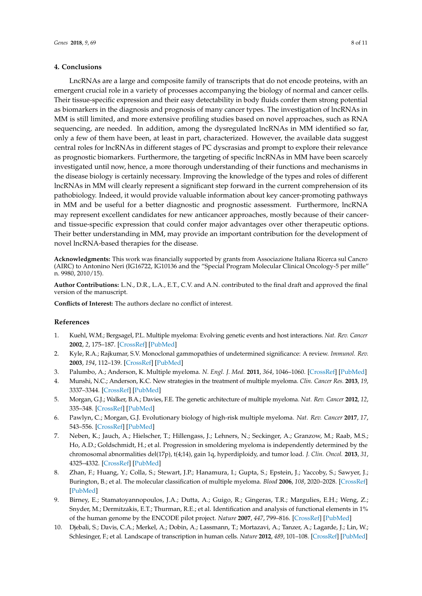#### **4. Conclusions**

LncRNAs are a large and composite family of transcripts that do not encode proteins, with an emergent crucial role in a variety of processes accompanying the biology of normal and cancer cells. Their tissue-specific expression and their easy detectability in body fluids confer them strong potential as biomarkers in the diagnosis and prognosis of many cancer types. The investigation of lncRNAs in MM is still limited, and more extensive profiling studies based on novel approaches, such as RNA sequencing, are needed. In addition, among the dysregulated lncRNAs in MM identified so far, only a few of them have been, at least in part, characterized. However, the available data suggest central roles for lncRNAs in different stages of PC dyscrasias and prompt to explore their relevance as prognostic biomarkers. Furthermore, the targeting of specific lncRNAs in MM have been scarcely investigated until now, hence, a more thorough understanding of their functions and mechanisms in the disease biology is certainly necessary. Improving the knowledge of the types and roles of different lncRNAs in MM will clearly represent a significant step forward in the current comprehension of its pathobiology. Indeed, it would provide valuable information about key cancer-promoting pathways in MM and be useful for a better diagnostic and prognostic assessment. Furthermore, lncRNA may represent excellent candidates for new anticancer approaches, mostly because of their cancerand tissue-specific expression that could confer major advantages over other therapeutic options. Their better understanding in MM, may provide an important contribution for the development of novel lncRNA-based therapies for the disease.

**Acknowledgments:** This work was financially supported by grants from Associazione Italiana Ricerca sul Cancro (AIRC) to Antonino Neri (IG16722, IG10136 and the "Special Program Molecular Clinical Oncology-5 per mille" n. 9980, 2010/15).

**Author Contributions:** L.N., D.R., L.A., E.T., C.V. and A.N. contributed to the final draft and approved the final version of the manuscript.

**Conflicts of Interest:** The authors declare no conflict of interest.

#### **References**

- <span id="page-7-0"></span>1. Kuehl, W.M.; Bergsagel, P.L. Multiple myeloma: Evolving genetic events and host interactions. *Nat. Rev. Cancer* **2002**, *2*, 175–187. [\[CrossRef\]](http://dx.doi.org/10.1038/nrc746) [\[PubMed\]](http://www.ncbi.nlm.nih.gov/pubmed/11990854)
- 2. Kyle, R.A.; Rajkumar, S.V. Monoclonal gammopathies of undetermined significance: A review. *Immunol. Rev.* **2003**, *194*, 112–139. [\[CrossRef\]](http://dx.doi.org/10.1034/j.1600-065X.2003.00056.x) [\[PubMed\]](http://www.ncbi.nlm.nih.gov/pubmed/12846812)
- <span id="page-7-1"></span>3. Palumbo, A.; Anderson, K. Multiple myeloma. *N. Engl. J. Med.* **2011**, *364*, 1046–1060. [\[CrossRef\]](http://dx.doi.org/10.1056/NEJMra1011442) [\[PubMed\]](http://www.ncbi.nlm.nih.gov/pubmed/21410373)
- <span id="page-7-2"></span>4. Munshi, N.C.; Anderson, K.C. New strategies in the treatment of multiple myeloma. *Clin. Cancer Res.* **2013**, *19*, 3337–3344. [\[CrossRef\]](http://dx.doi.org/10.1158/1078-0432.CCR-12-1881) [\[PubMed\]](http://www.ncbi.nlm.nih.gov/pubmed/23515406)
- <span id="page-7-3"></span>5. Morgan, G.J.; Walker, B.A.; Davies, F.E. The genetic architecture of multiple myeloma. *Nat. Rev. Cancer* **2012**, *12*, 335–348. [\[CrossRef\]](http://dx.doi.org/10.1038/nrc3257) [\[PubMed\]](http://www.ncbi.nlm.nih.gov/pubmed/22495321)
- <span id="page-7-4"></span>6. Pawlyn, C.; Morgan, G.J. Evolutionary biology of high-risk multiple myeloma. *Nat. Rev. Cancer* **2017**, *17*, 543–556. [\[CrossRef\]](http://dx.doi.org/10.1038/nrc.2017.63) [\[PubMed\]](http://www.ncbi.nlm.nih.gov/pubmed/28835722)
- <span id="page-7-5"></span>7. Neben, K.; Jauch, A.; Hielscher, T.; Hillengass, J.; Lehners, N.; Seckinger, A.; Granzow, M.; Raab, M.S.; Ho, A.D.; Goldschmidt, H.; et al. Progression in smoldering myeloma is independently determined by the chromosomal abnormalities del(17p), t(4;14), gain 1q, hyperdiploidy, and tumor load. *J. Clin. Oncol.* **2013**, *31*, 4325–4332. [\[CrossRef\]](http://dx.doi.org/10.1200/JCO.2012.48.4923) [\[PubMed\]](http://www.ncbi.nlm.nih.gov/pubmed/24145347)
- <span id="page-7-6"></span>8. Zhan, F.; Huang, Y.; Colla, S.; Stewart, J.P.; Hanamura, I.; Gupta, S.; Epstein, J.; Yaccoby, S.; Sawyer, J.; Burington, B.; et al. The molecular classification of multiple myeloma. *Blood* **2006**, *108*, 2020–2028. [\[CrossRef\]](http://dx.doi.org/10.1182/blood-2005-11-013458) [\[PubMed\]](http://www.ncbi.nlm.nih.gov/pubmed/16728703)
- <span id="page-7-7"></span>9. Birney, E.; Stamatoyannopoulos, J.A.; Dutta, A.; Guigo, R.; Gingeras, T.R.; Margulies, E.H.; Weng, Z.; Snyder, M.; Dermitzakis, E.T.; Thurman, R.E.; et al. Identification and analysis of functional elements in 1% of the human genome by the ENCODE pilot project. *Nature* **2007**, *447*, 799–816. [\[CrossRef\]](http://dx.doi.org/10.1038/nature05874) [\[PubMed\]](http://www.ncbi.nlm.nih.gov/pubmed/17571346)
- <span id="page-7-8"></span>10. Djebali, S.; Davis, C.A.; Merkel, A.; Dobin, A.; Lassmann, T.; Mortazavi, A.; Tanzer, A.; Lagarde, J.; Lin, W.; Schlesinger, F.; et al. Landscape of transcription in human cells. *Nature* **2012**, *489*, 101–108. [\[CrossRef\]](http://dx.doi.org/10.1038/nature11233) [\[PubMed\]](http://www.ncbi.nlm.nih.gov/pubmed/22955620)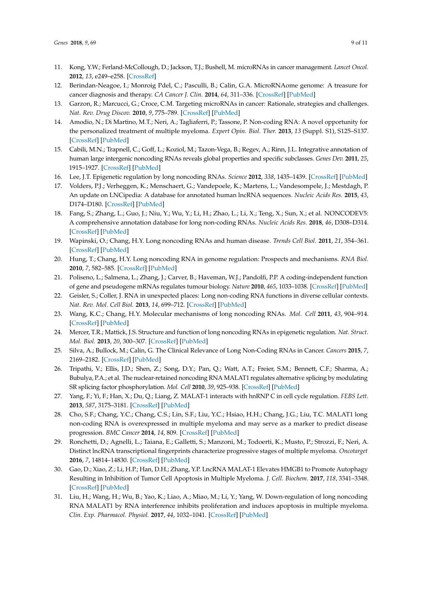- <span id="page-8-0"></span>11. Kong, Y.W.; Ferland-McCollough, D.; Jackson, T.J.; Bushell, M. microRNAs in cancer management. *Lancet Oncol.* **2012**, *13*, e249–e258. [\[CrossRef\]](http://dx.doi.org/10.1016/S1470-2045(12)70073-6)
- <span id="page-8-1"></span>12. Berindan-Neagoe, I.; Monroig Pdel, C.; Pasculli, B.; Calin, G.A. MicroRNAome genome: A treasure for cancer diagnosis and therapy. *CA Cancer J. Clin.* **2014**, *64*, 311–336. [\[CrossRef\]](http://dx.doi.org/10.3322/caac.21244) [\[PubMed\]](http://www.ncbi.nlm.nih.gov/pubmed/25104502)
- 13. Garzon, R.; Marcucci, G.; Croce, C.M. Targeting microRNAs in cancer: Rationale, strategies and challenges. *Nat. Rev. Drug Discov.* **2010**, *9*, 775–789. [\[CrossRef\]](http://dx.doi.org/10.1038/nrd3179) [\[PubMed\]](http://www.ncbi.nlm.nih.gov/pubmed/20885409)
- <span id="page-8-2"></span>14. Amodio, N.; Di Martino, M.T.; Neri, A.; Tagliaferri, P.; Tassone, P. Non-coding RNA: A novel opportunity for the personalized treatment of multiple myeloma. *Expert Opin. Biol. Ther.* **2013**, *13* (Suppl. S1), S125–S137. [\[CrossRef\]](http://dx.doi.org/10.1517/14712598.2013.796356) [\[PubMed\]](http://www.ncbi.nlm.nih.gov/pubmed/23692413)
- <span id="page-8-3"></span>15. Cabili, M.N.; Trapnell, C.; Goff, L.; Koziol, M.; Tazon-Vega, B.; Regev, A.; Rinn, J.L. Integrative annotation of human large intergenic noncoding RNAs reveals global properties and specific subclasses. *Genes Dev.* **2011**, *25*, 1915–1927. [\[CrossRef\]](http://dx.doi.org/10.1101/gad.17446611) [\[PubMed\]](http://www.ncbi.nlm.nih.gov/pubmed/21890647)
- <span id="page-8-4"></span>16. Lee, J.T. Epigenetic regulation by long noncoding RNAs. *Science* **2012**, *338*, 1435–1439. [\[CrossRef\]](http://dx.doi.org/10.1126/science.1231776) [\[PubMed\]](http://www.ncbi.nlm.nih.gov/pubmed/23239728)
- <span id="page-8-18"></span><span id="page-8-5"></span>17. Volders, P.J.; Verheggen, K.; Menschaert, G.; Vandepoele, K.; Martens, L.; Vandesompele, J.; Mestdagh, P. An update on LNCipedia: A database for annotated human lncRNA sequences. *Nucleic Acids Res.* **2015**, *43*, D174–D180. [\[CrossRef\]](http://dx.doi.org/10.1093/nar/gku1060) [\[PubMed\]](http://www.ncbi.nlm.nih.gov/pubmed/25378313)
- <span id="page-8-20"></span><span id="page-8-6"></span>18. Fang, S.; Zhang, L.; Guo, J.; Niu, Y.; Wu, Y.; Li, H.; Zhao, L.; Li, X.; Teng, X.; Sun, X.; et al. NONCODEV5: A comprehensive annotation database for long non-coding RNAs. *Nucleic Acids Res.* **2018**, *46*, D308–D314. [\[CrossRef\]](http://dx.doi.org/10.1093/nar/gkx1107) [\[PubMed\]](http://www.ncbi.nlm.nih.gov/pubmed/29140524)
- <span id="page-8-7"></span>19. Wapinski, O.; Chang, H.Y. Long noncoding RNAs and human disease. *Trends Cell Biol.* **2011**, *21*, 354–361. [\[CrossRef\]](http://dx.doi.org/10.1016/j.tcb.2011.04.001) [\[PubMed\]](http://www.ncbi.nlm.nih.gov/pubmed/21550244)
- <span id="page-8-19"></span><span id="page-8-9"></span>20. Hung, T.; Chang, H.Y. Long noncoding RNA in genome regulation: Prospects and mechanisms. *RNA Biol.* **2010**, *7*, 582–585. [\[CrossRef\]](http://dx.doi.org/10.4161/rna.7.5.13216) [\[PubMed\]](http://www.ncbi.nlm.nih.gov/pubmed/20930520)
- <span id="page-8-10"></span>21. Poliseno, L.; Salmena, L.; Zhang, J.; Carver, B.; Haveman, W.J.; Pandolfi, P.P. A coding-independent function of gene and pseudogene mRNAs regulates tumour biology. *Nature* **2010**, *465*, 1033–1038. [\[CrossRef\]](http://dx.doi.org/10.1038/nature09144) [\[PubMed\]](http://www.ncbi.nlm.nih.gov/pubmed/20577206)
- <span id="page-8-21"></span>22. Geisler, S.; Coller, J. RNA in unexpected places: Long non-coding RNA functions in diverse cellular contexts. *Nat. Rev. Mol. Cell Biol.* **2013**, *14*, 699–712. [\[CrossRef\]](http://dx.doi.org/10.1038/nrm3679) [\[PubMed\]](http://www.ncbi.nlm.nih.gov/pubmed/24105322)
- <span id="page-8-22"></span>23. Wang, K.C.; Chang, H.Y. Molecular mechanisms of long noncoding RNAs. *Mol. Cell* **2011**, *43*, 904–914. [\[CrossRef\]](http://dx.doi.org/10.1016/j.molcel.2011.08.018) [\[PubMed\]](http://www.ncbi.nlm.nih.gov/pubmed/21925379)
- <span id="page-8-8"></span>24. Mercer, T.R.; Mattick, J.S. Structure and function of long noncoding RNAs in epigenetic regulation. *Nat. Struct. Mol. Biol.* **2013**, *20*, 300–307. [\[CrossRef\]](http://dx.doi.org/10.1038/nsmb.2480) [\[PubMed\]](http://www.ncbi.nlm.nih.gov/pubmed/23463315)
- <span id="page-8-11"></span>25. Silva, A.; Bullock, M.; Calin, G. The Clinical Relevance of Long Non-Coding RNAs in Cancer. *Cancers* **2015**, *7*, 2169–2182. [\[CrossRef\]](http://dx.doi.org/10.3390/cancers7040884) [\[PubMed\]](http://www.ncbi.nlm.nih.gov/pubmed/26516918)
- <span id="page-8-12"></span>26. Tripathi, V.; Ellis, J.D.; Shen, Z.; Song, D.Y.; Pan, Q.; Watt, A.T.; Freier, S.M.; Bennett, C.F.; Sharma, A.; Bubulya, P.A.; et al. The nuclear-retained noncoding RNA MALAT1 regulates alternative splicing by modulating SR splicing factor phosphorylation. *Mol. Cell* **2010**, *39*, 925–938. [\[CrossRef\]](http://dx.doi.org/10.1016/j.molcel.2010.08.011) [\[PubMed\]](http://www.ncbi.nlm.nih.gov/pubmed/20797886)
- <span id="page-8-13"></span>27. Yang, F.; Yi, F.; Han, X.; Du, Q.; Liang, Z. MALAT-1 interacts with hnRNP C in cell cycle regulation. *FEBS Lett.* **2013**, *587*, 3175–3181. [\[CrossRef\]](http://dx.doi.org/10.1016/j.febslet.2013.07.048) [\[PubMed\]](http://www.ncbi.nlm.nih.gov/pubmed/23973260)
- <span id="page-8-14"></span>28. Cho, S.F.; Chang, Y.C.; Chang, C.S.; Lin, S.F.; Liu, Y.C.; Hsiao, H.H.; Chang, J.G.; Liu, T.C. MALAT1 long non-coding RNA is overexpressed in multiple myeloma and may serve as a marker to predict disease progression. *BMC Cancer* **2014**, *14*, 809. [\[CrossRef\]](http://dx.doi.org/10.1186/1471-2407-14-809) [\[PubMed\]](http://www.ncbi.nlm.nih.gov/pubmed/25369863)
- <span id="page-8-15"></span>29. Ronchetti, D.; Agnelli, L.; Taiana, E.; Galletti, S.; Manzoni, M.; Todoerti, K.; Musto, P.; Strozzi, F.; Neri, A. Distinct lncRNA transcriptional fingerprints characterize progressive stages of multiple myeloma. *Oncotarget* **2016**, *7*, 14814–14830. [\[CrossRef\]](http://dx.doi.org/10.18632/oncotarget.7442) [\[PubMed\]](http://www.ncbi.nlm.nih.gov/pubmed/26895470)
- <span id="page-8-16"></span>30. Gao, D.; Xiao, Z.; Li, H.P.; Han, D.H.; Zhang, Y.P. LncRNA MALAT-1 Elevates HMGB1 to Promote Autophagy Resulting in Inhibition of Tumor Cell Apoptosis in Multiple Myeloma. *J. Cell. Biochem.* **2017**, *118*, 3341–3348. [\[CrossRef\]](http://dx.doi.org/10.1002/jcb.25987) [\[PubMed\]](http://www.ncbi.nlm.nih.gov/pubmed/28295550)
- <span id="page-8-17"></span>31. Liu, H.; Wang, H.; Wu, B.; Yao, K.; Liao, A.; Miao, M.; Li, Y.; Yang, W. Down-regulation of long noncoding RNA MALAT1 by RNA interference inhibits proliferation and induces apoptosis in multiple myeloma. *Clin. Exp. Pharmacol. Physiol.* **2017**, *44*, 1032–1041. [\[CrossRef\]](http://dx.doi.org/10.1111/1440-1681.12804) [\[PubMed\]](http://www.ncbi.nlm.nih.gov/pubmed/28664617)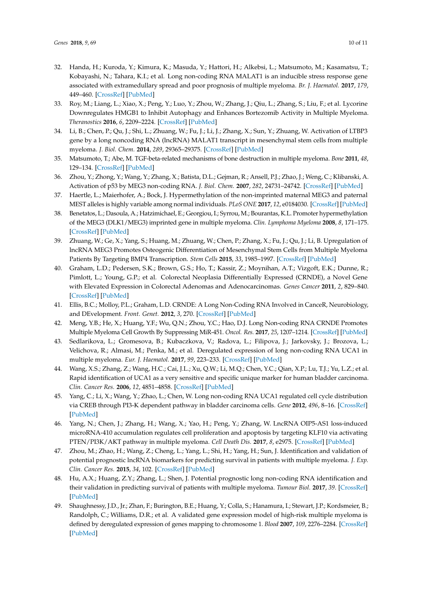- <span id="page-9-22"></span><span id="page-9-21"></span><span id="page-9-20"></span><span id="page-9-19"></span><span id="page-9-18"></span><span id="page-9-0"></span>32. Handa, H.; Kuroda, Y.; Kimura, K.; Masuda, Y.; Hattori, H.; Alkebsi, L.; Matsumoto, M.; Kasamatsu, T.; Kobayashi, N.; Tahara, K.I.; et al. Long non-coding RNA MALAT1 is an inducible stress response gene associated with extramedullary spread and poor prognosis of multiple myeloma. *Br. J. Haematol.* **2017**, *179*, 449–460. [\[CrossRef\]](http://dx.doi.org/10.1111/bjh.14882) [\[PubMed\]](http://www.ncbi.nlm.nih.gov/pubmed/28770558)
- <span id="page-9-1"></span>33. Roy, M.; Liang, L.; Xiao, X.; Peng, Y.; Luo, Y.; Zhou, W.; Zhang, J.; Qiu, L.; Zhang, S.; Liu, F.; et al. Lycorine Downregulates HMGB1 to Inhibit Autophagy and Enhances Bortezomib Activity in Multiple Myeloma. *Theranostics* **2016**, *6*, 2209–2224. [\[CrossRef\]](http://dx.doi.org/10.7150/thno.15584) [\[PubMed\]](http://www.ncbi.nlm.nih.gov/pubmed/27924158)
- <span id="page-9-2"></span>34. Li, B.; Chen, P.; Qu, J.; Shi, L.; Zhuang, W.; Fu, J.; Li, J.; Zhang, X.; Sun, Y.; Zhuang, W. Activation of LTBP3 gene by a long noncoding RNA (lncRNA) MALAT1 transcript in mesenchymal stem cells from multiple myeloma. *J. Biol. Chem.* **2014**, *289*, 29365–29375. [\[CrossRef\]](http://dx.doi.org/10.1074/jbc.M114.572693) [\[PubMed\]](http://www.ncbi.nlm.nih.gov/pubmed/25187517)
- <span id="page-9-24"></span><span id="page-9-23"></span><span id="page-9-3"></span>35. Matsumoto, T.; Abe, M. TGF-beta-related mechanisms of bone destruction in multiple myeloma. *Bone* **2011**, *48*, 129–134. [\[CrossRef\]](http://dx.doi.org/10.1016/j.bone.2010.05.036) [\[PubMed\]](http://www.ncbi.nlm.nih.gov/pubmed/20570621)
- <span id="page-9-4"></span>36. Zhou, Y.; Zhong, Y.; Wang, Y.; Zhang, X.; Batista, D.L.; Gejman, R.; Ansell, P.J.; Zhao, J.; Weng, C.; Klibanski, A. Activation of p53 by MEG3 non-coding RNA. *J. Biol. Chem.* **2007**, *282*, 24731–24742. [\[CrossRef\]](http://dx.doi.org/10.1074/jbc.M702029200) [\[PubMed\]](http://www.ncbi.nlm.nih.gov/pubmed/17569660)
- <span id="page-9-5"></span>37. Haertle, L.; Maierhofer, A.; Bock, J. Hypermethylation of the non-imprinted maternal MEG3 and paternal MEST alleles is highly variable among normal individuals. *PLoS ONE* **2017**, *12*, e0184030. [\[CrossRef\]](http://dx.doi.org/10.1371/journal.pone.0184030) [\[PubMed\]](http://www.ncbi.nlm.nih.gov/pubmed/28854270)
- <span id="page-9-25"></span><span id="page-9-6"></span>38. Benetatos, L.; Dasoula, A.; Hatzimichael, E.; Georgiou, I.; Syrrou, M.; Bourantas, K.L. Promoter hypermethylation of the MEG3 (DLK1/MEG3) imprinted gene in multiple myeloma. *Clin. Lymphoma Myeloma* **2008**, *8*, 171–175. [\[CrossRef\]](http://dx.doi.org/10.3816/CLM.2008.n.021) [\[PubMed\]](http://www.ncbi.nlm.nih.gov/pubmed/18650181)
- <span id="page-9-26"></span><span id="page-9-7"></span>39. Zhuang, W.; Ge, X.; Yang, S.; Huang, M.; Zhuang, W.; Chen, P.; Zhang, X.; Fu, J.; Qu, J.; Li, B. Upregulation of lncRNA MEG3 Promotes Osteogenic Differentiation of Mesenchymal Stem Cells from Multiple Myeloma Patients By Targeting BMP4 Transcription. *Stem Cells* **2015**, *33*, 1985–1997. [\[CrossRef\]](http://dx.doi.org/10.1002/stem.1989) [\[PubMed\]](http://www.ncbi.nlm.nih.gov/pubmed/25753650)
- <span id="page-9-8"></span>40. Graham, L.D.; Pedersen, S.K.; Brown, G.S.; Ho, T.; Kassir, Z.; Moynihan, A.T.; Vizgoft, E.K.; Dunne, R.; Pimlott, L.; Young, G.P.; et al. Colorectal Neoplasia Differentially Expressed (CRNDE), a Novel Gene with Elevated Expression in Colorectal Adenomas and Adenocarcinomas. *Genes Cancer* **2011**, *2*, 829–840. [\[CrossRef\]](http://dx.doi.org/10.1177/1947601911431081) [\[PubMed\]](http://www.ncbi.nlm.nih.gov/pubmed/22393467)
- <span id="page-9-9"></span>41. Ellis, B.C.; Molloy, P.L.; Graham, L.D. CRNDE: A Long Non-Coding RNA Involved in CanceR, Neurobiology, and DEvelopment. *Front. Genet.* **2012**, *3*, 270. [\[CrossRef\]](http://dx.doi.org/10.3389/fgene.2012.00270) [\[PubMed\]](http://www.ncbi.nlm.nih.gov/pubmed/23226159)
- <span id="page-9-10"></span>42. Meng, Y.B.; He, X.; Huang, Y.F.; Wu, Q.N.; Zhou, Y.C.; Hao, D.J. Long Non-coding RNA CRNDE Promotes Multiple Myeloma Cell Growth By Suppressing MiR-451. *Oncol. Res.* **2017**, *25*, 1207–1214. [\[CrossRef\]](http://dx.doi.org/10.3727/096504017X14886679715637) [\[PubMed\]](http://www.ncbi.nlm.nih.gov/pubmed/28276319)
- <span id="page-9-11"></span>43. Sedlarikova, L.; Gromesova, B.; Kubaczkova, V.; Radova, L.; Filipova, J.; Jarkovsky, J.; Brozova, L.; Velichova, R.; Almasi, M.; Penka, M.; et al. Deregulated expression of long non-coding RNA UCA1 in multiple myeloma. *Eur. J. Haematol.* **2017**, *99*, 223–233. [\[CrossRef\]](http://dx.doi.org/10.1111/ejh.12908) [\[PubMed\]](http://www.ncbi.nlm.nih.gov/pubmed/28543758)
- <span id="page-9-12"></span>44. Wang, X.S.; Zhang, Z.; Wang, H.C.; Cai, J.L.; Xu, Q.W.; Li, M.Q.; Chen, Y.C.; Qian, X.P.; Lu, T.J.; Yu, L.Z.; et al. Rapid identification of UCA1 as a very sensitive and specific unique marker for human bladder carcinoma. *Clin. Cancer Res.* **2006**, *12*, 4851–4858. [\[CrossRef\]](http://dx.doi.org/10.1158/1078-0432.CCR-06-0134) [\[PubMed\]](http://www.ncbi.nlm.nih.gov/pubmed/16914571)
- <span id="page-9-13"></span>45. Yang, C.; Li, X.; Wang, Y.; Zhao, L.; Chen, W. Long non-coding RNA UCA1 regulated cell cycle distribution via CREB through PI3-K dependent pathway in bladder carcinoma cells. *Gene* **2012**, *496*, 8–16. [\[CrossRef\]](http://dx.doi.org/10.1016/j.gene.2012.01.012) [\[PubMed\]](http://www.ncbi.nlm.nih.gov/pubmed/22285928)
- <span id="page-9-14"></span>46. Yang, N.; Chen, J.; Zhang, H.; Wang, X.; Yao, H.; Peng, Y.; Zhang, W. LncRNA OIP5-AS1 loss-induced microRNA-410 accumulation regulates cell proliferation and apoptosis by targeting KLF10 via activating PTEN/PI3K/AKT pathway in multiple myeloma. *Cell Death Dis.* **2017**, *8*, e2975. [\[CrossRef\]](http://dx.doi.org/10.1038/cddis.2017.358) [\[PubMed\]](http://www.ncbi.nlm.nih.gov/pubmed/28796257)
- <span id="page-9-15"></span>47. Zhou, M.; Zhao, H.; Wang, Z.; Cheng, L.; Yang, L.; Shi, H.; Yang, H.; Sun, J. Identification and validation of potential prognostic lncRNA biomarkers for predicting survival in patients with multiple myeloma. *J. Exp. Clin. Cancer Res.* **2015**, *34*, 102. [\[CrossRef\]](http://dx.doi.org/10.1186/s13046-015-0219-5) [\[PubMed\]](http://www.ncbi.nlm.nih.gov/pubmed/26362431)
- <span id="page-9-16"></span>48. Hu, A.X.; Huang, Z.Y.; Zhang, L.; Shen, J. Potential prognostic long non-coding RNA identification and their validation in predicting survival of patients with multiple myeloma. *Tumour Biol.* **2017**, *39*. [\[CrossRef\]](http://dx.doi.org/10.1177/1010428317694563) [\[PubMed\]](http://www.ncbi.nlm.nih.gov/pubmed/28378636)
- <span id="page-9-17"></span>49. Shaughnessy, J.D., Jr.; Zhan, F.; Burington, B.E.; Huang, Y.; Colla, S.; Hanamura, I.; Stewart, J.P.; Kordsmeier, B.; Randolph, C.; Williams, D.R.; et al. A validated gene expression model of high-risk multiple myeloma is defined by deregulated expression of genes mapping to chromosome 1. *Blood* **2007**, *109*, 2276–2284. [\[CrossRef\]](http://dx.doi.org/10.1182/blood-2006-07-038430) [\[PubMed\]](http://www.ncbi.nlm.nih.gov/pubmed/17105813)